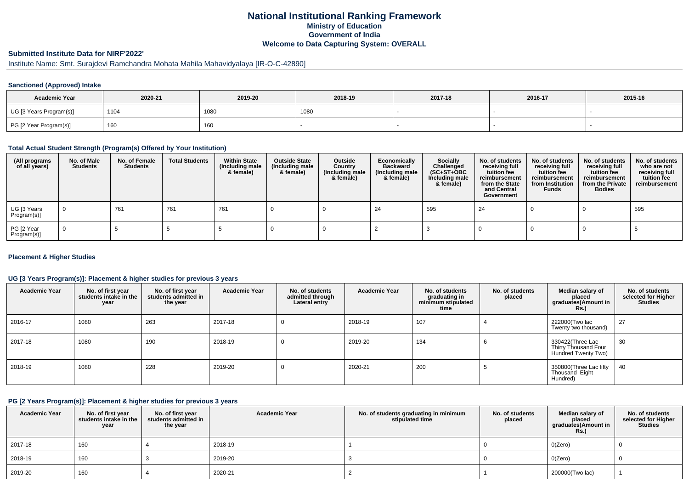## **National Institutional Ranking FrameworkMinistry of Education Government of IndiaWelcome to Data Capturing System: OVERALL**

# **Submitted Institute Data for NIRF'2022'**

# Institute Name: Smt. Surajdevi Ramchandra Mohata Mahila Mahavidyalaya [IR-O-C-42890]

## **Sanctioned (Approved) Intake**

| <b>Academic Year</b>    | 2020-21 | 2019-20 | 2018-19 | 2017-18 | 2016-17 | 2015-16 |
|-------------------------|---------|---------|---------|---------|---------|---------|
| UG [3 Years Program(s)] | 1104    | 1080    | 1080    |         |         |         |
| PG [2 Year Program(s)]  | 160     | 160     |         |         |         |         |

#### **Total Actual Student Strength (Program(s) Offered by Your Institution)**

| (All programs<br>of all years) | No. of Male<br><b>Students</b> | No. of Female<br><b>Students</b> | <b>Total Students</b> | <b>Within State</b><br>(Including male<br>& female) | <b>Outside State</b><br>(Including male<br>& female) | Outside<br>Country<br>(Including male<br>& female) | Economically<br><b>Backward</b><br>(Including male<br>& female) | Socially<br>Challenged<br>$(SC+ST+OBC)$<br>Including male<br>& female) | No. of students<br>receiving full<br>tuition fee<br>reimbursement<br>from the State<br>and Central<br>Government | No. of students<br>receiving full<br>tuition fee<br>reimbursement<br>from Institution<br><b>Funds</b> | No. of students<br>receiving full<br>tuition fee<br>reimbursement<br>from the Private<br><b>Bodies</b> | No. of students<br>who are not<br>receiving full<br>tuition fee<br>reimbursement |
|--------------------------------|--------------------------------|----------------------------------|-----------------------|-----------------------------------------------------|------------------------------------------------------|----------------------------------------------------|-----------------------------------------------------------------|------------------------------------------------------------------------|------------------------------------------------------------------------------------------------------------------|-------------------------------------------------------------------------------------------------------|--------------------------------------------------------------------------------------------------------|----------------------------------------------------------------------------------|
| UG [3 Years<br>Program(s)]     | $\overline{0}$                 | 761                              | 761                   | 761                                                 |                                                      |                                                    | 24                                                              | 595                                                                    | 24                                                                                                               |                                                                                                       |                                                                                                        | 595                                                                              |
| PG [2 Year<br>Program(s)]      |                                |                                  |                       |                                                     |                                                      |                                                    |                                                                 |                                                                        |                                                                                                                  |                                                                                                       |                                                                                                        |                                                                                  |

## **Placement & Higher Studies**

## **UG [3 Years Program(s)]: Placement & higher studies for previous 3 years**

| <b>Academic Year</b> | No. of first year<br>students intake in the<br>year | No. of first vear<br>students admitted in<br>the year | <b>Academic Year</b> | No. of students<br>admitted through<br>Lateral entry | <b>Academic Year</b> | No. of students<br>graduating in<br>minimum stipulated<br>time | No. of students<br>placed | Median salary of<br>placed<br>graduates(Amount in<br><b>Rs.</b> ) | No. of students<br>selected for Higher<br><b>Studies</b> |
|----------------------|-----------------------------------------------------|-------------------------------------------------------|----------------------|------------------------------------------------------|----------------------|----------------------------------------------------------------|---------------------------|-------------------------------------------------------------------|----------------------------------------------------------|
| 2016-17              | 1080                                                | 263                                                   | 2017-18              | 0                                                    | 2018-19              | 107                                                            |                           | 222000(Two lac<br>Twenty two thousand)                            | 27                                                       |
| 2017-18              | 1080                                                | 190                                                   | 2018-19              | 0                                                    | 2019-20              | 134                                                            |                           | 330422(Three Lac<br>Thirty Thousand Four<br>Hundred Twenty Two)   | 30                                                       |
| 2018-19              | 1080                                                | 228                                                   | 2019-20              | -0                                                   | 2020-21              | 200                                                            |                           | 350800(Three Lac fifty<br>Thousand Eight<br>Hundred)              | 40                                                       |

#### **PG [2 Years Program(s)]: Placement & higher studies for previous 3 years**

| <b>Academic Year</b> | No. of first year<br>students intake in the<br>year | No. of first year<br>students admitted in<br>the year | <b>Academic Year</b> | No. of students graduating in minimum<br>stipulated time | No. of students<br>placed | Median salary of<br>placed<br>graduates(Amount in<br><b>Rs.)</b> | No. of students<br>selected for Higher<br><b>Studies</b> |
|----------------------|-----------------------------------------------------|-------------------------------------------------------|----------------------|----------------------------------------------------------|---------------------------|------------------------------------------------------------------|----------------------------------------------------------|
| 2017-18              | 160                                                 |                                                       | 2018-19              |                                                          |                           | O(Zero)                                                          |                                                          |
| 2018-19              | 160                                                 |                                                       | 2019-20              |                                                          |                           | O(Zero)                                                          |                                                          |
| 2019-20              | 160                                                 |                                                       | 2020-21              |                                                          |                           | 200000(Two lac)                                                  |                                                          |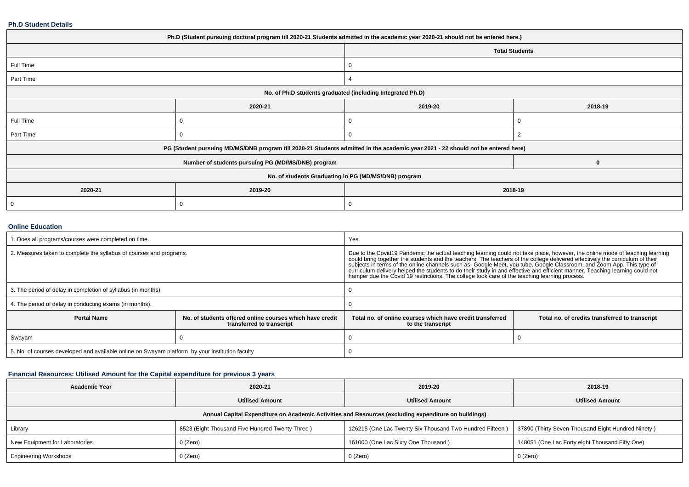#### **Ph.D Student Details**

| Ph.D (Student pursuing doctoral program till 2020-21 Students admitted in the academic year 2020-21 should not be entered here.) |                                                                                                                                  |         |                       |  |  |
|----------------------------------------------------------------------------------------------------------------------------------|----------------------------------------------------------------------------------------------------------------------------------|---------|-----------------------|--|--|
|                                                                                                                                  |                                                                                                                                  |         | <b>Total Students</b> |  |  |
| Full Time                                                                                                                        |                                                                                                                                  |         |                       |  |  |
| Part Time                                                                                                                        |                                                                                                                                  |         |                       |  |  |
| No. of Ph.D students graduated (including Integrated Ph.D)                                                                       |                                                                                                                                  |         |                       |  |  |
|                                                                                                                                  | 2020-21                                                                                                                          | 2019-20 | 2018-19               |  |  |
| Full Time                                                                                                                        | 0                                                                                                                                |         |                       |  |  |
| Part Time                                                                                                                        | 0                                                                                                                                |         |                       |  |  |
|                                                                                                                                  | PG (Student pursuing MD/MS/DNB program till 2020-21 Students admitted in the academic year 2021 - 22 should not be entered here) |         |                       |  |  |
|                                                                                                                                  | Number of students pursuing PG (MD/MS/DNB) program                                                                               |         | 0                     |  |  |
| No. of students Graduating in PG (MD/MS/DNB) program                                                                             |                                                                                                                                  |         |                       |  |  |
| 2020-21<br>2019-20<br>2018-19                                                                                                    |                                                                                                                                  |         |                       |  |  |
| 0                                                                                                                                |                                                                                                                                  |         |                       |  |  |

## **Online Education**

| . Does all programs/courses were completed on time.                                             | Yes                                                                                                                                                                                                                                                                                                                                                                                                                                                                                                                                                                                         |                                                                                |                                                |  |
|-------------------------------------------------------------------------------------------------|---------------------------------------------------------------------------------------------------------------------------------------------------------------------------------------------------------------------------------------------------------------------------------------------------------------------------------------------------------------------------------------------------------------------------------------------------------------------------------------------------------------------------------------------------------------------------------------------|--------------------------------------------------------------------------------|------------------------------------------------|--|
| 2. Measures taken to complete the syllabus of courses and programs.                             | Due to the Covid19 Pandemic the actual teaching learning could not take place, however, the online mode of teaching learning<br>could bring together the students and the teachers. The teachers of the college delivered effecti<br>subjects in terms of the online channels such as- Google Meet, you tube, Google Classroom, and Zoom App. This type of<br>curriculum delivery helped the students to do their study in and effective and efficient manner. Teaching learning could not<br>hamper due the Covid 19 restrictions. The college took care of the teaching learning process. |                                                                                |                                                |  |
| 3. The period of delay in completion of syllabus (in months).                                   |                                                                                                                                                                                                                                                                                                                                                                                                                                                                                                                                                                                             |                                                                                |                                                |  |
| 4. The period of delay in conducting exams (in months).                                         |                                                                                                                                                                                                                                                                                                                                                                                                                                                                                                                                                                                             |                                                                                |                                                |  |
| <b>Portal Name</b>                                                                              | No, of students offered online courses which have credit<br>transferred to transcript                                                                                                                                                                                                                                                                                                                                                                                                                                                                                                       | Total no, of online courses which have credit transferred<br>to the transcript | Total no. of credits transferred to transcript |  |
| Swayam                                                                                          |                                                                                                                                                                                                                                                                                                                                                                                                                                                                                                                                                                                             |                                                                                |                                                |  |
| 5. No. of courses developed and available online on Swayam platform by your institution faculty |                                                                                                                                                                                                                                                                                                                                                                                                                                                                                                                                                                                             |                                                                                |                                                |  |

## **Financial Resources: Utilised Amount for the Capital expenditure for previous 3 years**

| <b>Academic Year</b>                                                                                 | 2020-21                                         | 2019-20                                                  | 2018-19                                            |  |  |  |  |  |
|------------------------------------------------------------------------------------------------------|-------------------------------------------------|----------------------------------------------------------|----------------------------------------------------|--|--|--|--|--|
|                                                                                                      | <b>Utilised Amount</b>                          | <b>Utilised Amount</b>                                   | <b>Utilised Amount</b>                             |  |  |  |  |  |
| Annual Capital Expenditure on Academic Activities and Resources (excluding expenditure on buildings) |                                                 |                                                          |                                                    |  |  |  |  |  |
| Library                                                                                              | 8523 (Eight Thousand Five Hundred Twenty Three) | 126215 (One Lac Twenty Six Thousand Two Hundred Fifteen) | 37890 (Thirty Seven Thousand Eight Hundred Ninety) |  |  |  |  |  |
| New Equipment for Laboratories                                                                       | $0$ (Zero)                                      | 161000 (One Lac Sixty One Thousand)                      | 148051 (One Lac Forty eight Thousand Fifty One)    |  |  |  |  |  |
| <b>Engineering Workshops</b>                                                                         | 0 (Zero)                                        | 0 (Zero)                                                 | 0 (Zero)                                           |  |  |  |  |  |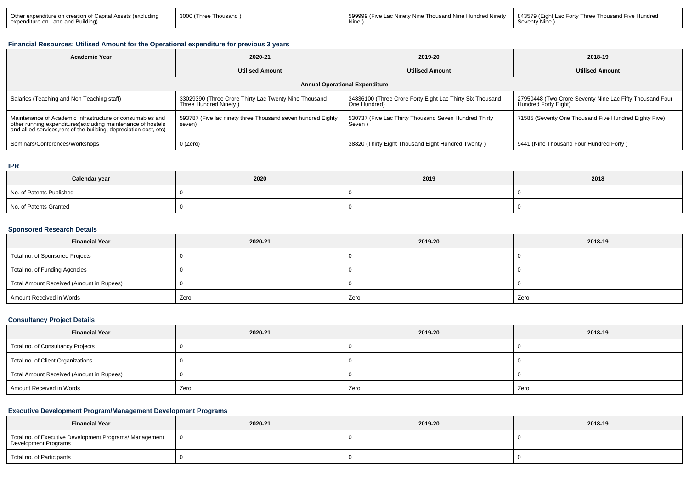| $\cap$ +h<br>∩n ∩t<br>…al Asset∽<br>ner expenditure on.<br>IAYC<br>:геано<br>Land and Building<br>exnendi<br>iiture or | sano | $-0$<br>undred Ninet<br>isand Nini<br>. The<br>$1 - 111$<br><b>NII</b><br>: Nin<br>Nine | 843570<br>Five Hundred<br>Three<br>ae Thor<br><b>Andre</b><br>t I oo I<br>UIW<br>סוווואו עו<br>ᇨᇄ |
|------------------------------------------------------------------------------------------------------------------------|------|-----------------------------------------------------------------------------------------|---------------------------------------------------------------------------------------------------|
|------------------------------------------------------------------------------------------------------------------------|------|-----------------------------------------------------------------------------------------|---------------------------------------------------------------------------------------------------|

## **Financial Resources: Utilised Amount for the Operational expenditure for previous 3 years**

| <b>Academic Year</b>                                                                                                                                                                          | 2020-21                                                                        | 2019-20                                                                   | 2018-19                                                                          |  |  |  |  |
|-----------------------------------------------------------------------------------------------------------------------------------------------------------------------------------------------|--------------------------------------------------------------------------------|---------------------------------------------------------------------------|----------------------------------------------------------------------------------|--|--|--|--|
|                                                                                                                                                                                               | <b>Utilised Amount</b>                                                         | <b>Utilised Amount</b>                                                    | <b>Utilised Amount</b>                                                           |  |  |  |  |
| <b>Annual Operational Expenditure</b>                                                                                                                                                         |                                                                                |                                                                           |                                                                                  |  |  |  |  |
| Salaries (Teaching and Non Teaching staff)                                                                                                                                                    | 33029390 (Three Crore Thirty Lac Twenty Nine Thousand<br>Three Hundred Ninety) | 34836100 (Three Crore Forty Eight Lac Thirty Six Thousand<br>One Hundred) | 27950448 (Two Crore Seventy Nine Lac Fifty Thousand Four<br>Hundred Forty Eight) |  |  |  |  |
| Maintenance of Academic Infrastructure or consumables and<br>other running expenditures(excluding maintenance of hostels<br>and allied services,rent of the building, depreciation cost, etc) | 593787 (Five lac ninety three Thousand seven hundred Eighty<br>seven)          | 530737 (Five Lac Thirty Thousand Seven Hundred Thirty<br>Seven            | 71585 (Seventy One Thousand Five Hundred Eighty Five)                            |  |  |  |  |
| Seminars/Conferences/Workshops                                                                                                                                                                | 0 (Zero)                                                                       | 38820 (Thirty Eight Thousand Eight Hundred Twenty)                        | 9441 (Nine Thousand Four Hundred Forty)                                          |  |  |  |  |

#### **IPR**

| Calendar year            | 2020 | 2019 | 2018 |
|--------------------------|------|------|------|
| No. of Patents Published |      |      |      |
| No. of Patents Granted   |      |      |      |

# **Sponsored Research Details**

| <b>Financial Year</b>                    | 2020-21 | 2019-20 | 2018-19 |
|------------------------------------------|---------|---------|---------|
| Total no. of Sponsored Projects          |         |         |         |
| Total no. of Funding Agencies            |         |         |         |
| Total Amount Received (Amount in Rupees) |         |         |         |
| Amount Received in Words                 | Zero    | Zero    | Zero    |

#### **Consultancy Project Details**

| <b>Financial Year</b>                    | 2020-21 | 2019-20 | 2018-19 |
|------------------------------------------|---------|---------|---------|
| Total no. of Consultancy Projects        |         |         |         |
| Total no. of Client Organizations        |         |         |         |
| Total Amount Received (Amount in Rupees) |         |         |         |
| Amount Received in Words                 | Zero    | Zero    | Zero    |

## **Executive Development Program/Management Development Programs**

| <b>Financial Year</b>                                                           | 2020-21 | 2019-20 | 2018-19 |  |  |
|---------------------------------------------------------------------------------|---------|---------|---------|--|--|
| Total no. of Executive Development Programs/ Management<br>Development Programs |         |         |         |  |  |
| Total no. of Participants                                                       |         |         |         |  |  |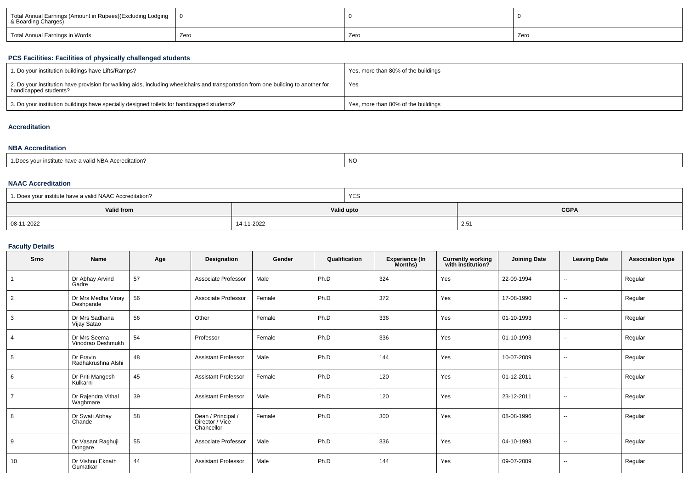| Total Annual Earnings (Amount in Rupees)(Excluding Lodging<br>& Boarding Charges) |      |      |      |  |
|-----------------------------------------------------------------------------------|------|------|------|--|
| Total Annual Earnings in Words                                                    | Zero | Zero | Zero |  |

## **PCS Facilities: Facilities of physically challenged students**

| 1. Do your institution buildings have Lifts/Ramps?                                                                                                         | Yes, more than 80% of the buildings |
|------------------------------------------------------------------------------------------------------------------------------------------------------------|-------------------------------------|
| 2. Do your institution have provision for walking aids, including wheelchairs and transportation from one building to another for<br>handicapped students? | Yes                                 |
| 3. Do your institution buildings have specially designed toilets for handicapped students?                                                                 | Yes, more than 80% of the buildings |

## **Accreditation**

## **NBA Accreditation**

| institute have a valid NBA Accreditation?<br><b>NO</b><br>1. Does your in. |
|----------------------------------------------------------------------------|
|----------------------------------------------------------------------------|

## **NAAC Accreditation**

| <sup>1</sup> 1. Does your institute have a valid NAAC Accreditation? |            | <b>YES</b>  |               |  |  |
|----------------------------------------------------------------------|------------|-------------|---------------|--|--|
| Valid from                                                           | Valid upto | <b>CGPA</b> |               |  |  |
| 08-11-2022                                                           | 14-11-2022 |             | $2.5^{\circ}$ |  |  |

## **Faculty Details**

| Srno            | <b>Name</b>                       | Age | Designation                                         | Gender | Qualification | <b>Experience (In</b><br>Months) | <b>Currently working</b><br>with institution? | <b>Joining Date</b> | <b>Leaving Date</b>      | <b>Association type</b> |
|-----------------|-----------------------------------|-----|-----------------------------------------------------|--------|---------------|----------------------------------|-----------------------------------------------|---------------------|--------------------------|-------------------------|
| $\overline{1}$  | Dr Abhay Arvind<br>Gadre          | 57  | Associate Professor                                 | Male   | Ph.D          | 324                              | Yes                                           | 22-09-1994          | $\overline{\phantom{a}}$ | Regular                 |
| 2               | Dr Mrs Medha Vinay<br>Deshpande   | 56  | Associate Professor                                 | Female | Ph.D          | 372                              | Yes                                           | 17-08-1990          | $\overline{\phantom{a}}$ | Regular                 |
| 3               | Dr Mrs Sadhana<br>Vijay Satao     | 56  | Other                                               | Female | Ph.D          | 336                              | Yes                                           | 01-10-1993          | $\sim$                   | Regular                 |
| $\overline{4}$  | Dr Mrs Seema<br>Vinodrao Deshmukh | 54  | Professor                                           | Female | Ph.D          | 336                              | Yes                                           | 01-10-1993          | $\sim$                   | Regular                 |
| $5\phantom{.0}$ | Dr Pravin<br>Radhakrushna Alshi   | 48  | <b>Assistant Professor</b>                          | Male   | Ph.D          | 144                              | Yes                                           | 10-07-2009          | $\overline{\phantom{a}}$ | Regular                 |
| 6               | Dr Priti Mangesh<br>Kulkarni      | 45  | <b>Assistant Professor</b>                          | Female | Ph.D          | 120                              | Yes                                           | 01-12-2011          | $\overline{\phantom{a}}$ | Regular                 |
| $\overline{7}$  | Dr Rajendra Vithal<br>Waghmare    | 39  | <b>Assistant Professor</b>                          | Male   | Ph.D          | 120                              | Yes                                           | 23-12-2011          | $\overline{\phantom{a}}$ | Regular                 |
| 8               | Dr Swati Abhay<br>Chande          | 58  | Dean / Principal /<br>Director / Vice<br>Chancellor | Female | Ph.D          | 300                              | Yes                                           | 08-08-1996          | $\overline{\phantom{a}}$ | Regular                 |
| 9               | Dr Vasant Raghuji<br>Dongare      | 55  | Associate Professor                                 | Male   | Ph.D          | 336                              | Yes                                           | 04-10-1993          | $\overline{\phantom{a}}$ | Regular                 |
| 10              | Dr Vishnu Eknath<br>Gumatkar      | 44  | <b>Assistant Professor</b>                          | Male   | Ph.D          | 144                              | Yes                                           | 09-07-2009          | $\overline{\phantom{a}}$ | Regular                 |